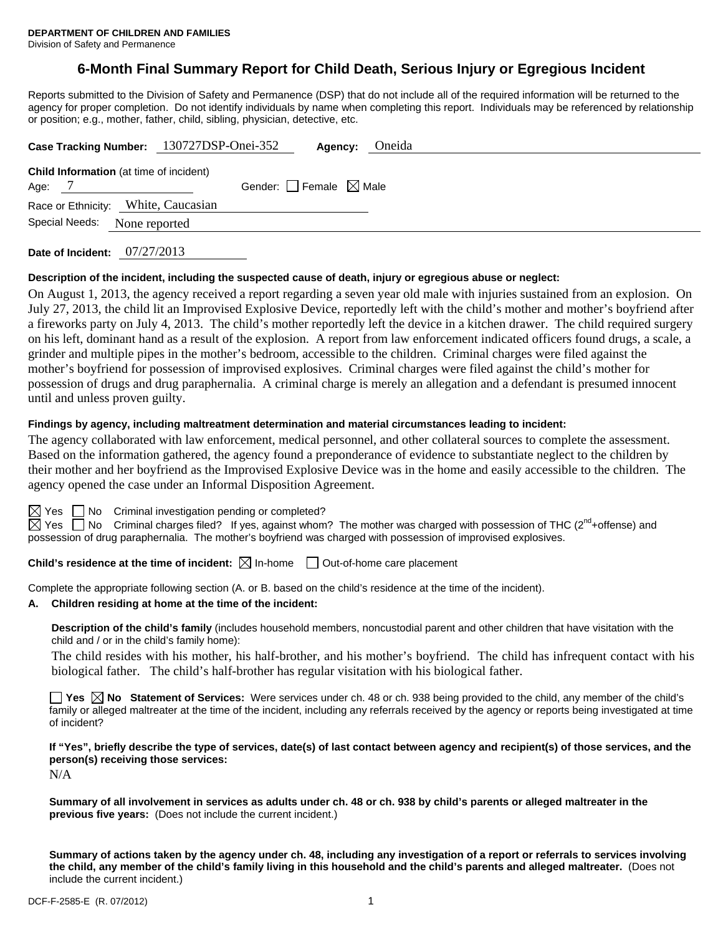# **6-Month Final Summary Report for Child Death, Serious Injury or Egregious Incident**

Reports submitted to the Division of Safety and Permanence (DSP) that do not include all of the required information will be returned to the agency for proper completion. Do not identify individuals by name when completing this report. Individuals may be referenced by relationship or position; e.g., mother, father, child, sibling, physician, detective, etc.

| Case Tracking Number: 130727DSP-Onei-352       | Oneida<br>Agency:               |  |  |  |
|------------------------------------------------|---------------------------------|--|--|--|
| <b>Child Information</b> (at time of incident) |                                 |  |  |  |
| Age: 7                                         | Gender: Female $\boxtimes$ Male |  |  |  |
| Race or Ethnicity: White, Caucasian            |                                 |  |  |  |
| Special Needs:<br>None reported                |                                 |  |  |  |
|                                                |                                 |  |  |  |

**Date of Incident:** 07/27/2013

#### **Description of the incident, including the suspected cause of death, injury or egregious abuse or neglect:**

On August 1, 2013, the agency received a report regarding a seven year old male with injuries sustained from an explosion. On July 27, 2013, the child lit an Improvised Explosive Device, reportedly left with the child's mother and mother's boyfriend after a fireworks party on July 4, 2013. The child's mother reportedly left the device in a kitchen drawer. The child required surgery on his left, dominant hand as a result of the explosion. A report from law enforcement indicated officers found drugs, a scale, a grinder and multiple pipes in the mother's bedroom, accessible to the children. Criminal charges were filed against the mother's boyfriend for possession of improvised explosives. Criminal charges were filed against the child's mother for possession of drugs and drug paraphernalia. A criminal charge is merely an allegation and a defendant is presumed innocent until and unless proven guilty.

#### **Findings by agency, including maltreatment determination and material circumstances leading to incident:**

The agency collaborated with law enforcement, medical personnel, and other collateral sources to complete the assessment. Based on the information gathered, the agency found a preponderance of evidence to substantiate neglect to the children by their mother and her boyfriend as the Improvised Explosive Device was in the home and easily accessible to the children. The agency opened the case under an Informal Disposition Agreement.

 $\boxtimes$  Yes  $\Box$  No Criminal investigation pending or completed?

 $\boxtimes$  Yes  $\Box$  No Criminal charges filed? If yes, against whom? The mother was charged with possession of THC (2<sup>nd</sup>+offense) and possession of drug paraphernalia. The mother's boyfriend was charged with possession of improvised explosives.

**Child's residence at the time of incident:**  $\boxtimes$  In-home  $\Box$  Out-of-home care placement

Complete the appropriate following section (A. or B. based on the child's residence at the time of the incident).

#### **A. Children residing at home at the time of the incident:**

**Description of the child's family** (includes household members, noncustodial parent and other children that have visitation with the child and / or in the child's family home):

 The child resides with his mother, his half-brother, and his mother's boyfriend. The child has infrequent contact with his biological father. The child's half-brother has regular visitation with his biological father.

**Tes**  $\boxtimes$  **No** Statement of Services: Were services under ch. 48 or ch. 938 being provided to the child, any member of the child's family or alleged maltreater at the time of the incident, including any referrals received by the agency or reports being investigated at time of incident?

**If "Yes", briefly describe the type of services, date(s) of last contact between agency and recipient(s) of those services, and the person(s) receiving those services:** 

N/A

**Summary of all involvement in services as adults under ch. 48 or ch. 938 by child's parents or alleged maltreater in the previous five years:** (Does not include the current incident.)

**Summary of actions taken by the agency under ch. 48, including any investigation of a report or referrals to services involving the child, any member of the child's family living in this household and the child's parents and alleged maltreater.** (Does not include the current incident.)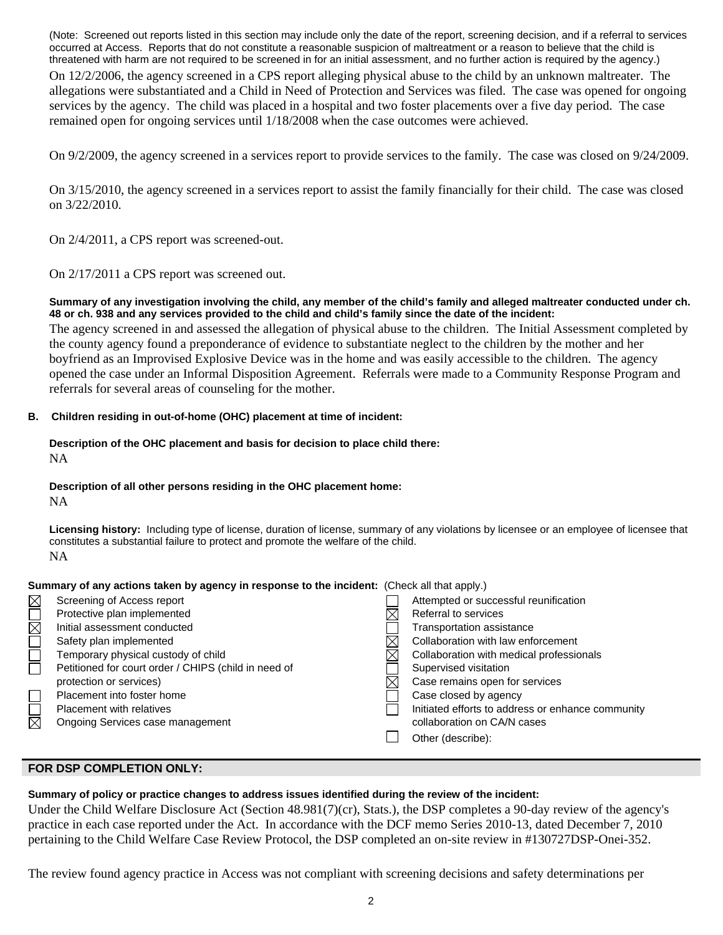(Note: Screened out reports listed in this section may include only the date of the report, screening decision, and if a referral to services occurred at Access. Reports that do not constitute a reasonable suspicion of maltreatment or a reason to believe that the child is threatened with harm are not required to be screened in for an initial assessment, and no further action is required by the agency.)

On 12/2/2006, the agency screened in a CPS report alleging physical abuse to the child by an unknown maltreater. The allegations were substantiated and a Child in Need of Protection and Services was filed. The case was opened for ongoing services by the agency. The child was placed in a hospital and two foster placements over a five day period. The case remained open for ongoing services until 1/18/2008 when the case outcomes were achieved.

On 9/2/2009, the agency screened in a services report to provide services to the family. The case was closed on 9/24/2009.

On 3/15/2010, the agency screened in a services report to assist the family financially for their child. The case was closed on 3/22/2010.

On 2/4/2011, a CPS report was screened-out.

On 2/17/2011 a CPS report was screened out.

#### **Summary of any investigation involving the child, any member of the child's family and alleged maltreater conducted under ch. 48 or ch. 938 and any services provided to the child and child's family since the date of the incident:**

The agency screened in and assessed the allegation of physical abuse to the children. The Initial Assessment completed by the county agency found a preponderance of evidence to substantiate neglect to the children by the mother and her boyfriend as an Improvised Explosive Device was in the home and was easily accessible to the children. The agency opened the case under an Informal Disposition Agreement. Referrals were made to a Community Response Program and referrals for several areas of counseling for the mother.

## **B. Children residing in out-of-home (OHC) placement at time of incident:**

### **Description of the OHC placement and basis for decision to place child there:** NA

#### **Description of all other persons residing in the OHC placement home:**

NA

**Licensing history:** Including type of license, duration of license, summary of any violations by licensee or an employee of licensee that constitutes a substantial failure to protect and promote the welfare of the child. NA

| Summary of any actions taken by agency in response to the incident: (Check all that apply.) |                                                      |  |                                                   |  |
|---------------------------------------------------------------------------------------------|------------------------------------------------------|--|---------------------------------------------------|--|
| $\boxtimes$                                                                                 | Screening of Access report                           |  | Attempted or successful reunification             |  |
| $\Box$                                                                                      | Protective plan implemented                          |  | Referral to services                              |  |
|                                                                                             | Initial assessment conducted                         |  | Transportation assistance                         |  |
|                                                                                             | Safety plan implemented                              |  | Collaboration with law enforcement                |  |
|                                                                                             | Temporary physical custody of child                  |  | Collaboration with medical professionals          |  |
| $\Box$                                                                                      | Petitioned for court order / CHIPS (child in need of |  | Supervised visitation                             |  |
|                                                                                             | protection or services)                              |  | Case remains open for services                    |  |
|                                                                                             | Placement into foster home                           |  | Case closed by agency                             |  |
|                                                                                             | <b>Placement with relatives</b>                      |  | Initiated efforts to address or enhance community |  |
| $\boxtimes$                                                                                 | Ongoing Services case management                     |  | collaboration on CA/N cases                       |  |
|                                                                                             |                                                      |  | Other (describe):                                 |  |

## **FOR DSP COMPLETION ONLY:**

# **Summary of policy or practice changes to address issues identified during the review of the incident:**

Under the Child Welfare Disclosure Act (Section 48.981(7)(cr), Stats.), the DSP completes a 90-day review of the agency's practice in each case reported under the Act. In accordance with the DCF memo Series 2010-13, dated December 7, 2010 pertaining to the Child Welfare Case Review Protocol, the DSP completed an on-site review in #130727DSP-Onei-352.

The review found agency practice in Access was not compliant with screening decisions and safety determinations per